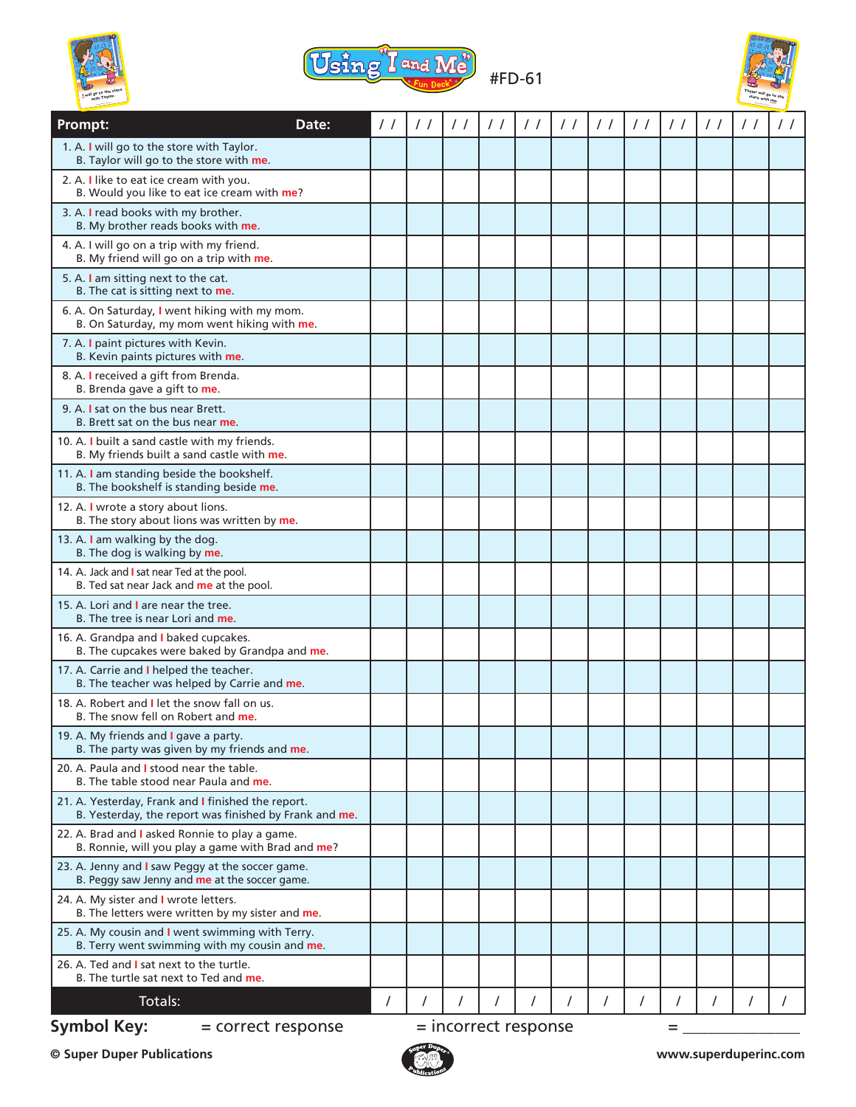





| Prompt:                                                                                                      | Date:              | $\frac{1}{2}$ | $\prime$ / | $\prime$ /           | $\prime$ / | $\prime$ / | $\frac{1}{2}$ | $\frac{1}{2}$ | $\prime$ / | $\frac{1}{2}$ | $\prime$ / | $\prime$ / | $\prime$ / |
|--------------------------------------------------------------------------------------------------------------|--------------------|---------------|------------|----------------------|------------|------------|---------------|---------------|------------|---------------|------------|------------|------------|
| 1. A. I will go to the store with Taylor.<br>B. Taylor will go to the store with me.                         |                    |               |            |                      |            |            |               |               |            |               |            |            |            |
| 2. A. I like to eat ice cream with you.<br>B. Would you like to eat ice cream with me?                       |                    |               |            |                      |            |            |               |               |            |               |            |            |            |
| 3. A. I read books with my brother.<br>B. My brother reads books with me.                                    |                    |               |            |                      |            |            |               |               |            |               |            |            |            |
| 4. A. I will go on a trip with my friend.<br>B. My friend will go on a trip with me.                         |                    |               |            |                      |            |            |               |               |            |               |            |            |            |
| 5. A. I am sitting next to the cat.<br>B. The cat is sitting next to me.                                     |                    |               |            |                      |            |            |               |               |            |               |            |            |            |
| 6. A. On Saturday, I went hiking with my mom.<br>B. On Saturday, my mom went hiking with me.                 |                    |               |            |                      |            |            |               |               |            |               |            |            |            |
| 7. A. I paint pictures with Kevin.<br>B. Kevin paints pictures with me.                                      |                    |               |            |                      |            |            |               |               |            |               |            |            |            |
| 8. A. I received a gift from Brenda.<br>B. Brenda gave a gift to me.                                         |                    |               |            |                      |            |            |               |               |            |               |            |            |            |
| 9. A. I sat on the bus near Brett.<br>B. Brett sat on the bus near me.                                       |                    |               |            |                      |            |            |               |               |            |               |            |            |            |
| 10. A. I built a sand castle with my friends.<br>B. My friends built a sand castle with me.                  |                    |               |            |                      |            |            |               |               |            |               |            |            |            |
| 11. A. I am standing beside the bookshelf.<br>B. The bookshelf is standing beside me.                        |                    |               |            |                      |            |            |               |               |            |               |            |            |            |
| 12. A. I wrote a story about lions.<br>B. The story about lions was written by me.                           |                    |               |            |                      |            |            |               |               |            |               |            |            |            |
| 13. A. I am walking by the dog.<br>B. The dog is walking by me.                                              |                    |               |            |                      |            |            |               |               |            |               |            |            |            |
| 14. A. Jack and I sat near Ted at the pool.<br>B. Ted sat near Jack and me at the pool.                      |                    |               |            |                      |            |            |               |               |            |               |            |            |            |
| 15. A. Lori and I are near the tree.<br>B. The tree is near Lori and me.                                     |                    |               |            |                      |            |            |               |               |            |               |            |            |            |
| 16. A. Grandpa and I baked cupcakes.<br>B. The cupcakes were baked by Grandpa and me.                        |                    |               |            |                      |            |            |               |               |            |               |            |            |            |
| 17. A. Carrie and I helped the teacher.<br>B. The teacher was helped by Carrie and me.                       |                    |               |            |                      |            |            |               |               |            |               |            |            |            |
| 18. A. Robert and I let the snow fall on us.<br>B. The snow fell on Robert and me.                           |                    |               |            |                      |            |            |               |               |            |               |            |            |            |
| 19. A. My friends and I gave a party.<br>B. The party was given by my friends and me.                        |                    |               |            |                      |            |            |               |               |            |               |            |            |            |
| 20. A. Paula and I stood near the table.<br>B. The table stood near Paula and me.                            |                    |               |            |                      |            |            |               |               |            |               |            |            |            |
| 21. A. Yesterday, Frank and I finished the report.<br>B. Yesterday, the report was finished by Frank and me. |                    |               |            |                      |            |            |               |               |            |               |            |            |            |
| 22. A. Brad and I asked Ronnie to play a game.<br>B. Ronnie, will you play a game with Brad and me?          |                    |               |            |                      |            |            |               |               |            |               |            |            |            |
| 23. A. Jenny and I saw Peggy at the soccer game.<br>B. Peggy saw Jenny and me at the soccer game.            |                    |               |            |                      |            |            |               |               |            |               |            |            |            |
| 24. A. My sister and I wrote letters.<br>B. The letters were written by my sister and me.                    |                    |               |            |                      |            |            |               |               |            |               |            |            |            |
| 25. A. My cousin and I went swimming with Terry.<br>B. Terry went swimming with my cousin and me.            |                    |               |            |                      |            |            |               |               |            |               |            |            |            |
| 26. A. Ted and I sat next to the turtle.<br>B. The turtle sat next to Ted and me.                            |                    |               |            |                      |            |            |               |               |            |               |            |            |            |
| Totals:                                                                                                      |                    | $\prime$      |            |                      |            |            |               | $\prime$      |            |               | T          |            |            |
| <b>Symbol Key:</b>                                                                                           | = correct response |               |            | = incorrect response |            |            |               |               |            | =             |            |            |            |

**© Super Duper Publications www.superduperinc.com**